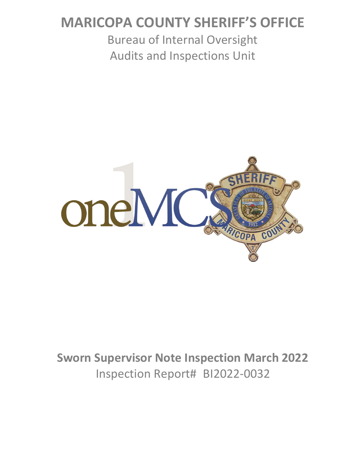# **MARICOPA COUNTY SHERIFF'S OFFICE**

Bureau of Internal Oversight Audits and Inspections Unit



# **Sworn Supervisor Note Inspection March 2022** Inspection Report# BI2022-0032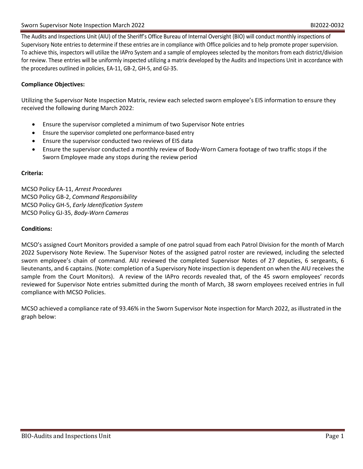The Audits and Inspections Unit (AIU) of the Sheriff's Office Bureau of Internal Oversight (BIO) will conduct monthly inspections of Supervisory Note entries to determine if these entries are in compliance with Office policies and to help promote proper supervision. To achieve this, inspectors will utilize the IAPro System and a sample of employees selected by the monitors from each district/division for review. These entries will be uniformly inspected utilizing a matrix developed by the Audits and Inspections Unit in accordance with the procedures outlined in policies, EA-11, GB-2, GH-5, and GJ-35.

### **Compliance Objectives:**

Utilizing the Supervisor Note Inspection Matrix, review each selected sworn employee's EIS information to ensure they received the following during March 2022:

- Ensure the supervisor completed a minimum of two Supervisor Note entries
- Ensure the supervisor completed one performance-based entry
- Ensure the supervisor conducted two reviews of EIS data
- Ensure the supervisor conducted a monthly review of Body-Worn Camera footage of two traffic stops if the Sworn Employee made any stops during the review period

#### **Criteria:**

MCSO Policy EA-11, *Arrest Procedures* MCSO Policy GB-2, *Command Responsibility* MCSO Policy GH-5, *Early Identification System* MCSO Policy GJ-35, *Body-Worn Cameras*

#### **Conditions:**

MCSO's assigned Court Monitors provided a sample of one patrol squad from each Patrol Division for the month of March 2022 Supervisory Note Review. The Supervisor Notes of the assigned patrol roster are reviewed, including the selected sworn employee's chain of command. AIU reviewed the completed Supervisor Notes of 27 deputies, 6 sergeants, 6 lieutenants, and 6 captains. (Note: completion of a Supervisory Note inspection is dependent on when the AIU receives the sample from the Court Monitors). A review of the IAPro records revealed that, of the 45 sworn employees' records reviewed for Supervisor Note entries submitted during the month of March, 38 sworn employees received entries in full compliance with MCSO Policies.

MCSO achieved a compliance rate of 93.46% in the Sworn Supervisor Note inspection for March 2022, as illustrated in the graph below: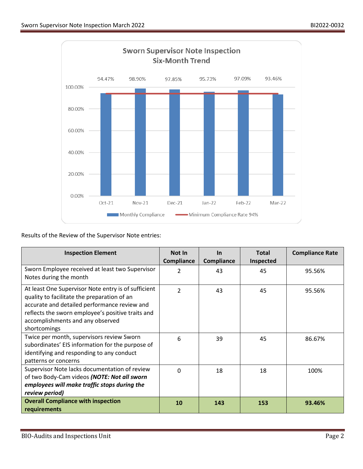

Results of the Review of the Supervisor Note entries:

| <b>Inspection Element</b>                                                                                                                                                                                                                                   | Not In<br>Compliance     | <b>In</b><br><b>Compliance</b> | <b>Total</b><br><b>Inspected</b> | <b>Compliance Rate</b> |
|-------------------------------------------------------------------------------------------------------------------------------------------------------------------------------------------------------------------------------------------------------------|--------------------------|--------------------------------|----------------------------------|------------------------|
| Sworn Employee received at least two Supervisor<br>Notes during the month                                                                                                                                                                                   | $\mathfrak{p}$           | 43                             | 45                               | 95.56%                 |
| At least One Supervisor Note entry is of sufficient<br>quality to facilitate the preparation of an<br>accurate and detailed performance review and<br>reflects the sworn employee's positive traits and<br>accomplishments and any observed<br>shortcomings | $\overline{\mathcal{L}}$ | 43                             | 45                               | 95.56%                 |
| Twice per month, supervisors review Sworn<br>subordinates' EIS information for the purpose of<br>identifying and responding to any conduct<br>patterns or concerns                                                                                          | 6                        | 39                             | 45                               | 86.67%                 |
| Supervisor Note lacks documentation of review<br>of two Body-Cam videos (NOTE: Not all sworn<br>employees will make traffic stops during the<br>review period)                                                                                              | $\mathbf 0$              | 18                             | 18                               | 100%                   |
| <b>Overall Compliance with inspection</b><br>requirements                                                                                                                                                                                                   | 10                       | 143                            | 153                              | 93.46%                 |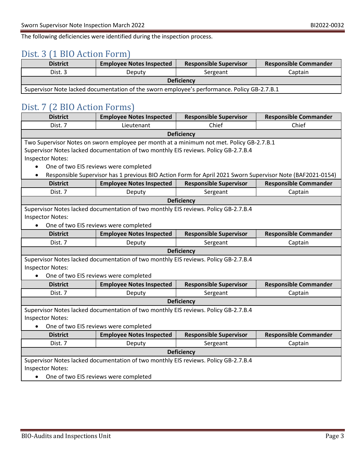The following deficiencies were identified during the inspection process.

### Dist. 3 (1 BIO Action Form)

| <b>District</b>                                                                             | <b>Employee Notes Inspected</b> | <b>Responsible Supervisor</b> | <b>Responsible Commander</b> |
|---------------------------------------------------------------------------------------------|---------------------------------|-------------------------------|------------------------------|
| Dist. 3                                                                                     | Deputv                          | Sergeant                      | Captain                      |
| <b>Deficiency</b>                                                                           |                                 |                               |                              |
| Supervisor Note lacked documentation of the sworn employee's performance. Policy GB-2.7.B.1 |                                 |                               |                              |

### Dist. 7 (2 BIO Action Forms)

| <b>District</b>                                                                     | <b>Employee Notes Inspected</b>                                                                           | <b>Responsible Supervisor</b> | <b>Responsible Commander</b> |
|-------------------------------------------------------------------------------------|-----------------------------------------------------------------------------------------------------------|-------------------------------|------------------------------|
| Dist. 7                                                                             | Lieutenant                                                                                                | Chief                         | Chief                        |
|                                                                                     |                                                                                                           | <b>Deficiency</b>             |                              |
|                                                                                     | Two Supervisor Notes on sworn employee per month at a minimum not met. Policy GB-2.7.B.1                  |                               |                              |
|                                                                                     | Supervisor Notes lacked documentation of two monthly EIS reviews. Policy GB-2.7.B.4                       |                               |                              |
| <b>Inspector Notes:</b>                                                             |                                                                                                           |                               |                              |
|                                                                                     | One of two EIS reviews were completed                                                                     |                               |                              |
| $\bullet$                                                                           | Responsible Supervisor has 1 previous BIO Action Form for April 2021 Sworn Supervisor Note (BAF2021-0154) |                               |                              |
| <b>District</b>                                                                     | <b>Employee Notes Inspected</b>                                                                           | <b>Responsible Supervisor</b> | <b>Responsible Commander</b> |
| Dist. 7                                                                             | Deputy                                                                                                    | Sergeant                      | Captain                      |
|                                                                                     |                                                                                                           | <b>Deficiency</b>             |                              |
| Supervisor Notes lacked documentation of two monthly EIS reviews. Policy GB-2.7.B.4 |                                                                                                           |                               |                              |
| <b>Inspector Notes:</b>                                                             |                                                                                                           |                               |                              |
| One of two EIS reviews were completed<br>$\bullet$                                  |                                                                                                           |                               |                              |
| <b>District</b>                                                                     | <b>Employee Notes Inspected</b>                                                                           | <b>Responsible Supervisor</b> | <b>Responsible Commander</b> |
| Dist. 7                                                                             | Deputy                                                                                                    | Sergeant                      | Captain                      |
| <b>Deficiency</b>                                                                   |                                                                                                           |                               |                              |
| Supervisor Notes lacked documentation of two monthly EIS reviews. Policy GB-2.7.B.4 |                                                                                                           |                               |                              |
| <b>Inspector Notes:</b>                                                             |                                                                                                           |                               |                              |
| One of two EIS reviews were completed<br>$\bullet$                                  |                                                                                                           |                               |                              |
| <b>District</b>                                                                     | <b>Employee Notes Inspected</b>                                                                           | <b>Responsible Supervisor</b> | <b>Responsible Commander</b> |
| Dist. 7                                                                             | Deputy                                                                                                    | Sergeant                      | Captain                      |
| <b>Deficiency</b>                                                                   |                                                                                                           |                               |                              |
| Supervisor Notes lacked documentation of two monthly EIS reviews. Policy GB-2.7.B.4 |                                                                                                           |                               |                              |
| <b>Inspector Notes:</b>                                                             |                                                                                                           |                               |                              |
| One of two EIS reviews were completed                                               |                                                                                                           |                               |                              |
| <b>District</b>                                                                     | <b>Employee Notes Inspected</b>                                                                           | <b>Responsible Supervisor</b> | <b>Responsible Commander</b> |
| Dist. 7                                                                             | Deputy                                                                                                    | Sergeant                      | Captain                      |
| <b>Deficiency</b>                                                                   |                                                                                                           |                               |                              |
| Supervisor Notes lacked documentation of two monthly EIS reviews. Policy GB-2.7.B.4 |                                                                                                           |                               |                              |
| <b>Inspector Notes:</b>                                                             |                                                                                                           |                               |                              |
| $\bullet$                                                                           | One of two EIS reviews were completed                                                                     |                               |                              |